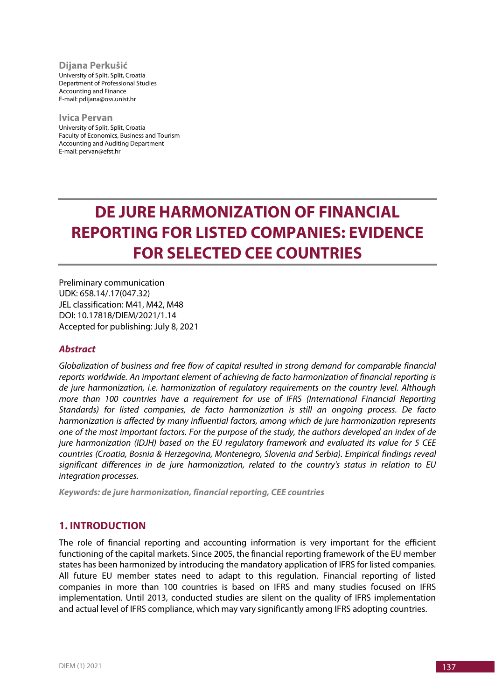**Dijana Perkušić** University of Split, Split, Croatia Department of Professional Studies Accounting and Finance E-mail: pdijana@oss.unist.hr

**Ivica Pervan** University of Split, Split, Croatia Faculty of Economics, Business and Tourism Accounting and Auditing Department E-mail: pervan@efst.hr

# **DE JURE HARMONIZATION OF FINANCIAL REPORTING FOR LISTED COMPANIES: EVIDENCE FOR SELECTED CEE COUNTRIES**

Preliminary communication UDK: 658.14/.17(047.32) JEL classification: M41, M42, M48 DOI: 10.17818/DIEM/2021/1.14 Accepted for publishing: July 8, 2021

## *Abstract*

*Globalization of business and free flow of capital resulted in strong demand for comparable financial reports worldwide. An important element of achieving de facto harmonization of financial reporting is de jure harmonization, i.e. harmonization of regulatory requirements on the country level. Although more than 100 countries have a requirement for use of IFRS (International Financial Reporting Standards) for listed companies, de facto harmonization is still an ongoing process. De facto harmonization is affected by many influential factors, among which de jure harmonization represents one of the most important factors. For the purpose of the study, the authors developed an index of de jure harmonization (IDJH) based on the EU regulatory framework and evaluated its value for 5 CEE countries (Croatia, Bosnia & Herzegovina, Montenegro, Slovenia and Serbia). Empirical findings reveal significant differences in de jure harmonization, related to the country's status in relation to EU integration processes.*

*Keywords: de jure harmonization, financial reporting, CEE countries*

# **1. INTRODUCTION**

The role of financial reporting and accounting information is very important for the efficient functioning of the capital markets. Since 2005, the financial reporting framework of the EU member states has been harmonized by introducing the mandatory application of IFRS for listed companies. All future EU member states need to adapt to this regulation. Financial reporting of listed companies in more than 100 countries is based on IFRS and many studies focused on IFRS implementation. Until 2013, conducted studies are silent on the quality of IFRS implementation and actual level of IFRS compliance, which may vary significantly among IFRS adopting countries.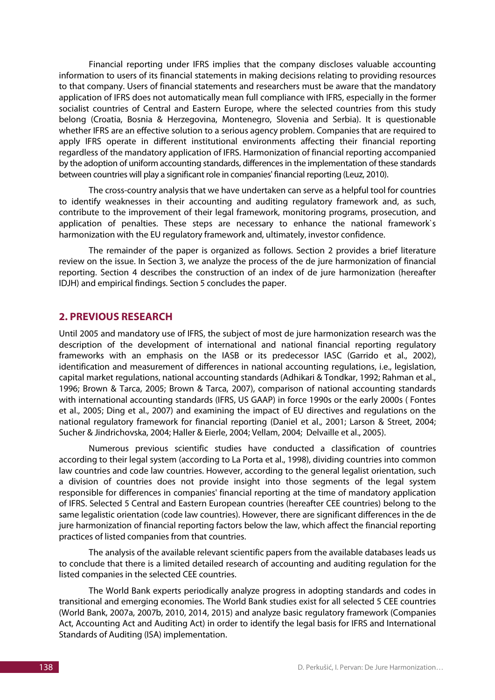Financial reporting under IFRS implies that the company discloses valuable accounting information to users of its financial statements in making decisions relating to providing resources to that company. Users of financial statements and researchers must be aware that the mandatory application of IFRS does not automatically mean full compliance with IFRS, especially in the former socialist countries of Central and Eastern Europe, where the selected countries from this study belong (Croatia, Bosnia & Herzegovina, Montenegro, Slovenia and Serbia). It is questionable whether IFRS are an effective solution to a serious agency problem. Companies that are required to apply IFRS operate in different institutional environments affecting their financial reporting regardless of the mandatory application of IFRS. Harmonization of financial reporting accompanied by the adoption of uniform accounting standards, differences in the implementation of these standards between countries will play a significant role in companies' financial reporting (Leuz, 2010).

The cross-country analysis that we have undertaken can serve as a helpful tool for countries to identify weaknesses in their accounting and auditing regulatory framework and, as such, contribute to the improvement of their legal framework, monitoring programs, prosecution, and application of penalties. These steps are necessary to enhance the national framework`s harmonization with the EU regulatory framework and, ultimately, investor confidence.

The remainder of the paper is organized as follows. Section 2 provides a brief literature review on the issue. In Section 3, we analyze the process of the de jure harmonization of financial reporting. Section 4 describes the construction of an index of de jure harmonization (hereafter IDJH) and empirical findings. Section 5 concludes the paper.

## **2. PREVIOUS RESEARCH**

Until 2005 and mandatory use of IFRS, the subject of most de jure harmonization research was the description of the development of international and national financial reporting regulatory frameworks with an emphasis on the IASB or its predecessor IASC (Garrido et al., 2002), identification and measurement of differences in national accounting regulations, i.e., legislation, capital market regulations, national accounting standards (Adhikari & Tondkar, 1992; Rahman et al., 1996; Brown & Tarca, 2005; Brown & Tarca, 2007), comparison of national accounting standards with international accounting standards (IFRS, US GAAP) in force 1990s or the early 2000s ( Fontes et al., 2005; Ding et al., 2007) and examining the impact of EU directives and regulations on the national regulatory framework for financial reporting (Daniel et al., 2001; Larson & Street, 2004; Sucher & Jindrichovska, 2004; Haller & Eierle, 2004; Vellam, 2004; Delvaille et al., 2005).

Numerous previous scientific studies have conducted a classification of countries according to their legal system (according to La Porta et al., 1998), dividing countries into common law countries and code law countries. However, according to the general legalist orientation, such a division of countries does not provide insight into those segments of the legal system responsible for differences in companies' financial reporting at the time of mandatory application of IFRS. Selected 5 Central and Eastern European countries (hereafter CEE countries) belong to the same legalistic orientation (code law countries). However, there are significant differences in the de jure harmonization of financial reporting factors below the law, which affect the financial reporting practices of listed companies from that countries.

The analysis of the available relevant scientific papers from the available databases leads us to conclude that there is a limited detailed research of accounting and auditing regulation for the listed companies in the selected CEE countries.

The World Bank experts periodically analyze progress in adopting standards and codes in transitional and emerging economies. The World Bank studies exist for all selected 5 CEE countries (World Bank, 2007a, 2007b, 2010, 2014, 2015) and analyze basic regulatory framework (Companies Act, Accounting Act and Auditing Act) in order to identify the legal basis for IFRS and International Standards of Auditing (ISA) implementation.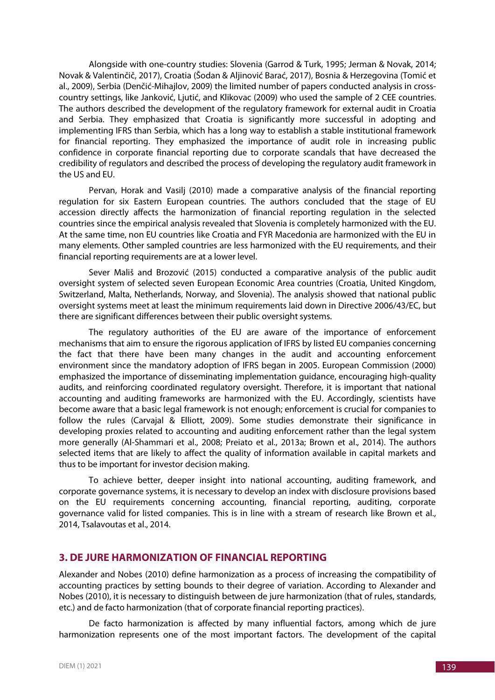Alongside with one-country studies: Slovenia (Garrod & Turk, 1995; Jerman & Novak, 2014; Novak & Valentinčič, 2017), Croatia (Šodan & Aljinović Barać, 2017), Bosnia & Herzegovina (Tomić et al., 2009), Serbia (Denčić-Mihajlov, 2009) the limited number of papers conducted analysis in crosscountry settings, like Janković, Ljutić, and Klikovac (2009) who used the sample of 2 CEE countries. The authors described the development of the regulatory framework for external audit in Croatia and Serbia. They emphasized that Croatia is significantly more successful in adopting and implementing IFRS than Serbia, which has a long way to establish a stable institutional framework for financial reporting. They emphasized the importance of audit role in increasing public confidence in corporate financial reporting due to corporate scandals that have decreased the credibility of regulators and described the process of developing the regulatory audit framework in the US and EU.

Pervan, Horak and Vasilj (2010) made a comparative analysis of the financial reporting regulation for six Eastern European countries. The authors concluded that the stage of EU accession directly affects the harmonization of financial reporting regulation in the selected countries since the empirical analysis revealed that Slovenia is completely harmonized with the EU. At the same time, non EU countries like Croatia and FYR Macedonia are harmonized with the EU in many elements. Other sampled countries are less harmonized with the EU requirements, and their financial reporting requirements are at a lower level.

Sever Mališ and Brozović (2015) conducted a comparative analysis of the public audit oversight system of selected seven European Economic Area countries (Croatia, United Kingdom, Switzerland, Malta, Netherlands, Norway, and Slovenia). The analysis showed that national public oversight systems meet at least the minimum requirements laid down in Directive 2006/43/EC, but there are significant differences between their public oversight systems.

The regulatory authorities of the EU are aware of the importance of enforcement mechanisms that aim to ensure the rigorous application of IFRS by listed EU companies concerning the fact that there have been many changes in the audit and accounting enforcement environment since the mandatory adoption of IFRS began in 2005. European Commission (2000) emphasized the importance of disseminating implementation guidance, encouraging high-quality audits, and reinforcing coordinated regulatory oversight. Therefore, it is important that national accounting and auditing frameworks are harmonized with the EU. Accordingly, scientists have become aware that a basic legal framework is not enough; enforcement is crucial for companies to follow the rules (Carvajal & Elliott, 2009). Some studies demonstrate their significance in developing proxies related to accounting and auditing enforcement rather than the legal system more generally (Al-Shammari et al., 2008; Preiato et al., 2013a; Brown et al., 2014). The authors selected items that are likely to affect the quality of information available in capital markets and thus to be important for investor decision making.

To achieve better, deeper insight into national accounting, auditing framework, and corporate governance systems, it is necessary to develop an index with disclosure provisions based on the EU requirements concerning accounting, financial reporting, auditing, corporate governance valid for listed companies. This is in line with a stream of research like Brown et al., 2014, Tsalavoutas et al., 2014.

## **3. DE JURE HARMONIZATION OF FINANCIAL REPORTING**

Alexander and Nobes (2010) define harmonization as a process of increasing the compatibility of accounting practices by setting bounds to their degree of variation. According to Alexander and Nobes (2010), it is necessary to distinguish between de jure harmonization (that of rules, standards, etc.) and de facto harmonization (that of corporate financial reporting practices).

De facto harmonization is affected by many influential factors, among which de jure harmonization represents one of the most important factors. The development of the capital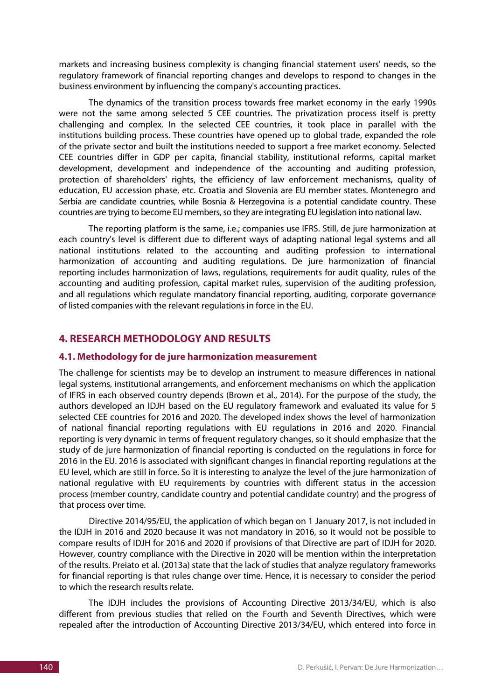markets and increasing business complexity is changing financial statement users' needs, so the regulatory framework of financial reporting changes and develops to respond to changes in the business environment by influencing the company's accounting practices.

The dynamics of the transition process towards free market economy in the early 1990s were not the same among selected 5 CEE countries. The privatization process itself is pretty challenging and complex. In the selected CEE countries, it took place in parallel with the institutions building process. These countries have opened up to global trade, expanded the role of the private sector and built the institutions needed to support a free market economy. Selected CEE countries differ in GDP per capita, financial stability, institutional reforms, capital market development, development and independence of the accounting and auditing profession, protection of shareholders' rights, the efficiency of law enforcement mechanisms, quality of education, EU accession phase, etc. Croatia and Slovenia are EU member states. Montenegro and Serbia are candidate countries, while Bosnia & Herzegovina is a potential candidate country. These countries are trying to become EU members, so they are integrating EU legislation into national law.

The reporting platform is the same, i.e.; companies use IFRS. Still, de jure harmonization at each country's level is different due to different ways of adapting national legal systems and all national institutions related to the accounting and auditing profession to international harmonization of accounting and auditing regulations. De jure harmonization of financial reporting includes harmonization of laws, regulations, requirements for audit quality, rules of the accounting and auditing profession, capital market rules, supervision of the auditing profession, and all regulations which regulate mandatory financial reporting, auditing, corporate governance of listed companies with the relevant regulations in force in the EU.

# **4. RESEARCH METHODOLOGY AND RESULTS**

## **4.1. Methodology for de jure harmonization measurement**

The challenge for scientists may be to develop an instrument to measure differences in national legal systems, institutional arrangements, and enforcement mechanisms on which the application of IFRS in each observed country depends (Brown et al., 2014). For the purpose of the study, the authors developed an IDJH based on the EU regulatory framework and evaluated its value for 5 selected CEE countries for 2016 and 2020. The developed index shows the level of harmonization of national financial reporting regulations with EU regulations in 2016 and 2020. Financial reporting is very dynamic in terms of frequent regulatory changes, so it should emphasize that the study of de jure harmonization of financial reporting is conducted on the regulations in force for 2016 in the EU. 2016 is associated with significant changes in financial reporting regulations at the EU level, which are still in force. So it is interesting to analyze the level of the jure harmonization of national regulative with EU requirements by countries with different status in the accession process (member country, candidate country and potential candidate country) and the progress of that process over time.

Directive 2014/95/EU, the application of which began on 1 January 2017, is not included in the IDJH in 2016 and 2020 because it was not mandatory in 2016, so it would not be possible to compare results of IDJH for 2016 and 2020 if provisions of that Directive are part of IDJH for 2020. However, country compliance with the Directive in 2020 will be mention within the interpretation of the results. Preiato et al. (2013a) state that the lack of studies that analyze regulatory frameworks for financial reporting is that rules change over time. Hence, it is necessary to consider the period to which the research results relate.

The IDJH includes the provisions of Accounting Directive 2013/34/EU, which is also different from previous studies that relied on the Fourth and Seventh Directives, which were repealed after the introduction of Accounting Directive 2013/34/EU, which entered into force in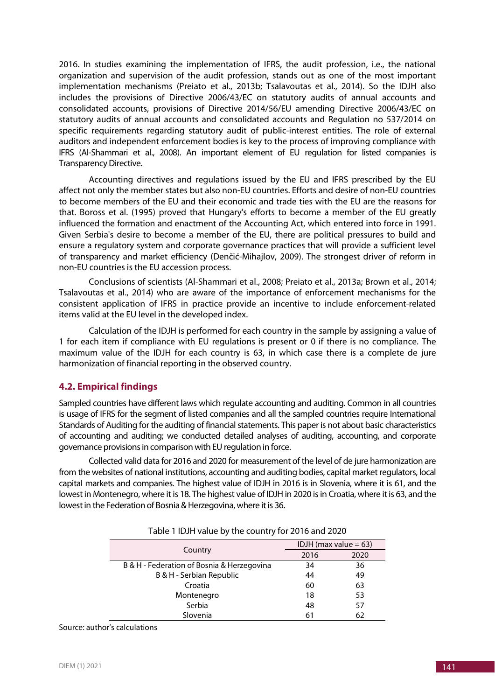2016. In studies examining the implementation of IFRS, the audit profession, i.e., the national organization and supervision of the audit profession, stands out as one of the most important implementation mechanisms (Preiato et al., 2013b; Tsalavoutas et al., 2014). So the IDJH also includes the provisions of Directive 2006/43/EC on statutory audits of annual accounts and consolidated accounts, provisions of Directive 2014/56/EU amending Directive 2006/43/EC on statutory audits of annual accounts and consolidated accounts and Regulation no 537/2014 on specific requirements regarding statutory audit of public-interest entities. The role of external auditors and independent enforcement bodies is key to the process of improving compliance with IFRS (Al-Shammari et al., 2008). An important element of EU regulation for listed companies is Transparency Directive.

Accounting directives and regulations issued by the EU and IFRS prescribed by the EU affect not only the member states but also non-EU countries. Efforts and desire of non-EU countries to become members of the EU and their economic and trade ties with the EU are the reasons for that. Boross et al. (1995) proved that Hungary's efforts to become a member of the EU greatly influenced the formation and enactment of the Accounting Act, which entered into force in 1991. Given Serbia's desire to become a member of the EU, there are political pressures to build and ensure a regulatory system and corporate governance practices that will provide a sufficient level of transparency and market efficiency (Denčić-Mihajlov, 2009). The strongest driver of reform in non-EU countries is the EU accession process.

Conclusions of scientists (Al-Shammari et al., 2008; Preiato et al., 2013a; Brown et al., 2014; Tsalavoutas et al., 2014) who are aware of the importance of enforcement mechanisms for the consistent application of IFRS in practice provide an incentive to include enforcement-related items valid at the EU level in the developed index.

Calculation of the IDJH is performed for each country in the sample by assigning a value of 1 for each item if compliance with EU regulations is present or 0 if there is no compliance. The maximum value of the IDJH for each country is 63, in which case there is a complete de jure harmonization of financial reporting in the observed country.

# **4.2. Empirical findings**

Sampled countries have different laws which regulate accounting and auditing. Common in all countries is usage of IFRS for the segment of listed companies and all the sampled countries require International Standards of Auditing for the auditing of financial statements. This paper is not about basic characteristics of accounting and auditing; we conducted detailed analyses of auditing, accounting, and corporate governance provisions in comparison with EU regulation in force.

Collected valid data for 2016 and 2020 for measurement of the level of de jure harmonization are from the websites of national institutions, accounting and auditing bodies, capital market regulators, local capital markets and companies. The highest value of IDJH in 2016 is in Slovenia, where it is 61, and the lowest in Montenegro, where it is 18. The highest value of IDJH in 2020 is in Croatia, where it is 63, and the lowest in the Federation of Bosnia& Herzegovina, where it is 36.

| $1001C + 1001C + 1010C + 101C + 101C + 101C + 101C + 101C + 101C + 101C + 101C + 101C + 101C + 101C + 101C + 101C + 101C + 101C + 101C + 101C + 101C + 101C + 101C + 101C + 101C + 101C + 101C + 101C + 101C + 101C + 101C + 101C + 101C + 101C + 101C + 101C + 1$ |                          |      |
|--------------------------------------------------------------------------------------------------------------------------------------------------------------------------------------------------------------------------------------------------------------------|--------------------------|------|
| Country                                                                                                                                                                                                                                                            | IDJH (max value $= 63$ ) |      |
|                                                                                                                                                                                                                                                                    | 2016                     | 2020 |
| B & H - Federation of Bosnia & Herzegovina                                                                                                                                                                                                                         | 34                       | 36   |
| B & H - Serbian Republic                                                                                                                                                                                                                                           | 44                       | 49   |
| Croatia                                                                                                                                                                                                                                                            | 60                       | 63   |
| Montenegro                                                                                                                                                                                                                                                         | 18                       | 53   |
| Serbia                                                                                                                                                                                                                                                             | 48                       | 57   |
| Slovenia                                                                                                                                                                                                                                                           | 61                       | 62   |
|                                                                                                                                                                                                                                                                    |                          |      |

Table 1 IDJH value by the country for 2016 and 2020

Source: author's calculations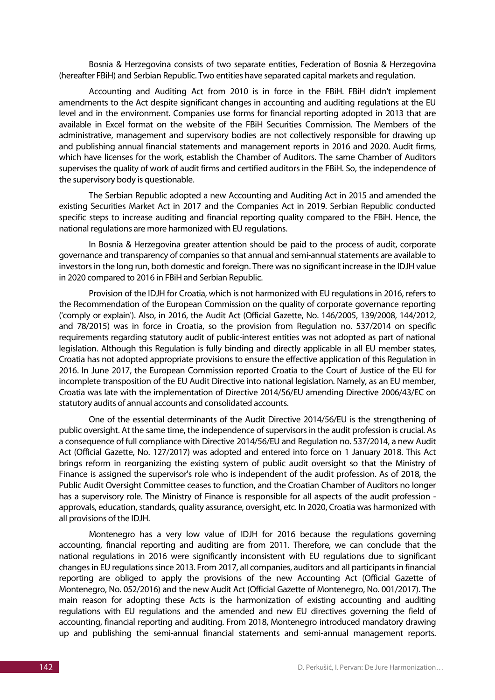Bosnia & Herzegovina consists of two separate entities, Federation of Bosnia & Herzegovina (hereafter FBiH) and Serbian Republic. Two entities have separated capital markets and regulation.

Accounting and Auditing Act from 2010 is in force in the FBiH. FBiH didn't implement amendments to the Act despite significant changes in accounting and auditing regulations at the EU level and in the environment. Companies use forms for financial reporting adopted in 2013 that are available in Excel format on the website of the FBiH Securities Commission. The Members of the administrative, management and supervisory bodies are not collectively responsible for drawing up and publishing annual financial statements and management reports in 2016 and 2020. Audit firms, which have licenses for the work, establish the Chamber of Auditors. The same Chamber of Auditors supervises the quality of work of audit firms and certified auditors in the FBiH. So, the independence of the supervisory body is questionable.

The Serbian Republic adopted a new Accounting and Auditing Act in 2015 and amended the existing Securities Market Act in 2017 and the Companies Act in 2019. Serbian Republic conducted specific steps to increase auditing and financial reporting quality compared to the FBiH. Hence, the national regulations are more harmonized with EU regulations.

In Bosnia & Herzegovina greater attention should be paid to the process of audit, corporate governance and transparency of companies so that annual and semi-annual statements are available to investors in the long run, both domestic and foreign. There was no significant increase in the IDJH value in 2020 compared to 2016 in FBiH and Serbian Republic.

Provision of the IDJH for Croatia, which is not harmonized with EU regulations in 2016, refers to the Recommendation of the European Commission on the quality of corporate governance reporting ('comply or explain'). Also, in 2016, the Audit Act (Official Gazette, No. 146/2005, 139/2008, 144/2012, and 78/2015) was in force in Croatia, so the provision from Regulation no. 537/2014 on specific requirements regarding statutory audit of public-interest entities was not adopted as part of national legislation. Although this Regulation is fully binding and directly applicable in all EU member states, Croatia has not adopted appropriate provisions to ensure the effective application of this Regulation in 2016. In June 2017, the European Commission reported Croatia to the Court of Justice of the EU for incomplete transposition of the EU Audit Directive into national legislation. Namely, as an EU member, Croatia was late with the implementation of Directive 2014/56/EU amending Directive 2006/43/EC on statutory audits of annual accounts and consolidated accounts.

One of the essential determinants of the Audit Directive 2014/56/EU is the strengthening of public oversight. At the same time, the independence of supervisors in the audit profession is crucial. As a consequence of full compliance with Directive 2014/56/EU and Regulation no. 537/2014, a new Audit Act (Official Gazette, No. 127/2017) was adopted and entered into force on 1 January 2018. This Act brings reform in reorganizing the existing system of public audit oversight so that the Ministry of Finance is assigned the supervisor's role who is independent of the audit profession. As of 2018, the Public Audit Oversight Committee ceases to function, and the Croatian Chamber of Auditors no longer has a supervisory role. The Ministry of Finance is responsible for all aspects of the audit profession approvals, education, standards, quality assurance, oversight, etc. In 2020, Croatia was harmonized with all provisions of the IDJH.

Montenegro has a very low value of IDJH for 2016 because the regulations governing accounting, financial reporting and auditing are from 2011. Therefore, we can conclude that the national regulations in 2016 were significantly inconsistent with EU regulations due to significant changes in EU regulations since 2013. From 2017, all companies, auditors and all participants in financial reporting are obliged to apply the provisions of the new Accounting Act (Official Gazette of Montenegro, No. 052/2016) and the new Audit Act (Official Gazette of Montenegro, No. 001/2017). The main reason for adopting these Acts is the harmonization of existing accounting and auditing regulations with EU regulations and the amended and new EU directives governing the field of accounting, financial reporting and auditing. From 2018, Montenegro introduced mandatory drawing up and publishing the semi-annual financial statements and semi-annual management reports.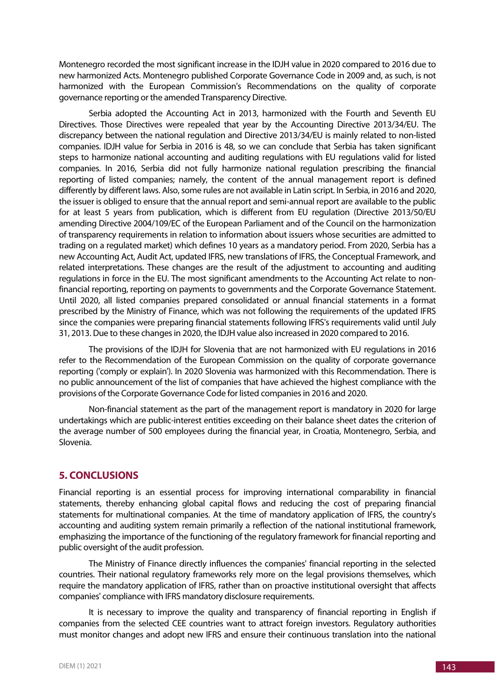Montenegro recorded the most significant increase in the IDJH value in 2020 compared to 2016 due to new harmonized Acts. Montenegro published Corporate Governance Code in 2009 and, as such, is not harmonized with the European Commission's Recommendations on the quality of corporate governance reporting or the amended Transparency Directive.

Serbia adopted the Accounting Act in 2013, harmonized with the Fourth and Seventh EU Directives. Those Directives were repealed that year by the Accounting Directive 2013/34/EU. The discrepancy between the national regulation and Directive 2013/34/EU is mainly related to non-listed companies. IDJH value for Serbia in 2016 is 48, so we can conclude that Serbia has taken significant steps to harmonize national accounting and auditing regulations with EU regulations valid for listed companies. In 2016, Serbia did not fully harmonize national regulation prescribing the financial reporting of listed companies; namely, the content of the annual management report is defined differently by different laws. Also, some rules are not available in Latin script. In Serbia, in 2016 and 2020, the issuer is obliged to ensure that the annual report and semi-annual report are available to the public for at least 5 years from publication, which is different from EU regulation (Directive 2013/50/EU amending Directive 2004/109/EC of the European Parliament and of the Council on the harmonization of transparency requirements in relation to information about issuers whose securities are admitted to trading on a regulated market) which defines 10 years as a mandatory period. From 2020, Serbia has a new Accounting Act, Audit Act, updated IFRS, new translations of IFRS, the Conceptual Framework, and related interpretations. These changes are the result of the adjustment to accounting and auditing regulations in force in the EU. The most significant amendments to the Accounting Act relate to nonfinancial reporting, reporting on payments to governments and the Corporate Governance Statement. Until 2020, all listed companies prepared consolidated or annual financial statements in a format prescribed by the Ministry of Finance, which was not following the requirements of the updated IFRS since the companies were preparing financial statements following IFRS's requirements valid until July 31, 2013. Due to these changes in 2020, the IDJH value also increased in 2020 compared to 2016.

The provisions of the IDJH for Slovenia that are not harmonized with EU regulations in 2016 refer to the Recommendation of the European Commission on the quality of corporate governance reporting ('comply or explain'). In 2020 Slovenia was harmonized with this Recommendation. There is no public announcement of the list of companies that have achieved the highest compliance with the provisions of the Corporate Governance Code for listed companies in 2016 and 2020.

Non-financial statement as the part of the management report is mandatory in 2020 for large undertakings which are public-interest entities exceeding on their balance sheet dates the criterion of the average number of 500 employees during the financial year, in Croatia, Montenegro, Serbia, and Slovenia.

# **5. CONCLUSIONS**

Financial reporting is an essential process for improving international comparability in financial statements, thereby enhancing global capital flows and reducing the cost of preparing financial statements for multinational companies. At the time of mandatory application of IFRS, the country's accounting and auditing system remain primarily a reflection of the national institutional framework, emphasizing the importance of the functioning of the regulatory framework for financial reporting and public oversight of the audit profession.

The Ministry of Finance directly influences the companies' financial reporting in the selected countries. Their national regulatory frameworks rely more on the legal provisions themselves, which require the mandatory application of IFRS, rather than on proactive institutional oversight that affects companies' compliance with IFRS mandatory disclosure requirements.

It is necessary to improve the quality and transparency of financial reporting in English if companies from the selected CEE countries want to attract foreign investors. Regulatory authorities must monitor changes and adopt new IFRS and ensure their continuous translation into the national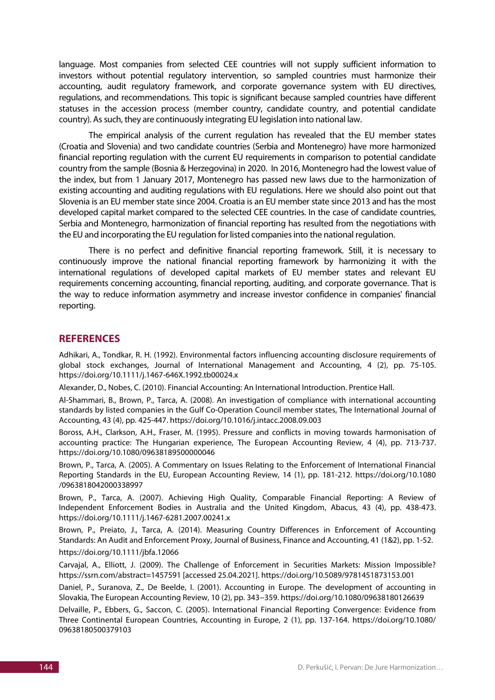language. Most companies from selected CEE countries will not supply sufficient information to investors without potential regulatory intervention, so sampled countries must harmonize their accounting, audit regulatory framework, and corporate governance system with EU directives, regulations, and recommendations. This topic is significant because sampled countries have different statuses in the accession process (member country, candidate country, and potential candidate country). As such, they are continuously integrating EU legislation into national law.

The empirical analysis of the current regulation has revealed that the EU member states (Croatia and Slovenia) and two candidate countries (Serbia and Montenegro) have more harmonized financial reporting regulation with the current EU requirements in comparison to potential candidate country from the sample (Bosnia & Herzegovina) in 2020. In 2016, Montenegro had the lowest value of the index, but from 1 January 2017, Montenegro has passed new laws due to the harmonization of existing accounting and auditing regulations with EU regulations. Here we should also point out that Slovenia is an EU member state since 2004. Croatia is an EU member state since 2013 and has the most developed capital market compared to the selected CEE countries. In the case of candidate countries, Serbia and Montenegro, harmonization of financial reporting has resulted from the negotiations with the EU and incorporating the EU regulation for listed companies into the national regulation.

There is no perfect and definitive financial reporting framework. Still, it is necessary to continuously improve the national financial reporting framework by harmonizing it with the international regulations of developed capital markets of EU member states and relevant EU requirements concerning accounting, financial reporting, auditing, and corporate governance. That is the way to reduce information asymmetry and increase investor confidence in companies' financial reporting.

## **REFERENCES**

Adhikari, A., Tondkar, R. H. (1992). Environmental factors influencing accounting disclosure requirements of global stock exchanges, Journal of International Management and Accounting, 4 (2), pp. 75-105. https://doi.org/10.1111/j.1467-646X.1992.tb00024.x

Alexander, D., Nobes, C. (2010). Financial Accounting: An International Introduction. Prentice Hall.

Al-Shammari, B., Brown, P., Tarca, A. (2008). An investigation of compliance with international accounting standards by listed companies in the Gulf Co-Operation Council member states, The International Journal of Accounting, 43 (4), pp. 425-447. https://doi.org/10.1016/j.intacc.2008.09.003

Boross, A.H., Clarkson, A.H., Fraser, M. (1995). Pressure and conflicts in moving towards harmonisation of accounting practice: The Hungarian experience, The European Accounting Review, 4 (4), pp. 713-737. https://doi.org/10.1080/09638189500000046

Brown, P., Tarca, A. (2005). A Commentary on Issues Relating to the Enforcement of International Financial Reporting Standards in the EU, European Accounting Review, 14 (1), pp. 181-212. https://doi.org/10.1080 /0963818042000338997

Brown, P., Tarca, A. (2007). Achieving High Quality, Comparable Financial Reporting: A Review of Independent Enforcement Bodies in Australia and the United Kingdom, Abacus, 43 (4), pp. 438-473. https://doi.org/10.1111/j.1467-6281.2007.00241.x

Brown, P., Preiato, J., Tarca, A. (2014). Measuring Country Differences in Enforcement of Accounting Standards: An Audit and Enforcement Proxy, Journal of Business, Finance and Accounting, 41 (1&2), pp. 1-52. https://doi.org/10.1111/jbfa.12066

Carvajal, A., Elliott, J. (2009). The Challenge of Enforcement in Securities Markets: Mission Impossible? https://ssrn.com/abstract=1457591 [accessed 25.04.2021]. https://doi.org/10.5089/9781451873153.001

Daniel, P., Suranova, Z., De Beelde, I. (2001). Accounting in Europe. The development of accounting in Slovakia, The European Accounting Review, 10 (2), pp. 343−359. https://doi.org/10.1080/09638180126639

Delvaille, P., Ebbers, G., Saccon, C. (2005). International Financial Reporting Convergence: Evidence from Three Continental European Countries, Accounting in Europe, 2 (1), pp. 137-164. https://doi.org/10.1080/ 09638180500379103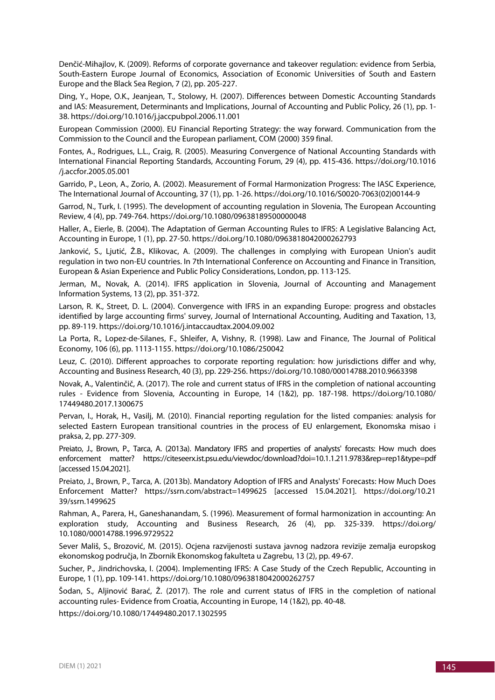Denčić-Mihajlov, K. (2009). Reforms of corporate governance and takeover regulation: evidence from Serbia, South-Eastern Europe Journal of Economics, Association of Economic Universities of South and Eastern Europe and the Black Sea Region, 7 (2), pp. 205-227.

Ding, Y., Hope, O.K., Jeanjean, T., Stolowy, H. (2007). Differences between Domestic Accounting Standards and IAS: Measurement, Determinants and Implications, Journal of Accounting and Public Policy, 26 (1), pp. 1- 38. https://doi.org/10.1016/j.jaccpubpol.2006.11.001

European Commission (2000). EU Financial Reporting Strategy: the way forward. Communication from the Commission to the Council and the European parliament, COM (2000) 359 final.

Fontes, A., Rodrigues, L.L., Craig, R. (2005). Measuring Convergence of National Accounting Standards with International Financial Reporting Standards, Accounting Forum, 29 (4), pp. 415-436. https://doi.org/10.1016 /j.accfor.2005.05.001

Garrido, P., Leon, A., Zorio, A. (2002). Measurement of Formal Harmonization Progress: The IASC Experience, The International Journal of Accounting, 37 (1), pp. 1-26. https://doi.org/10.1016/S0020-7063(02)00144-9

Garrod, N., Turk, I. (1995). The development of accounting regulation in Slovenia, The European Accounting Review, 4 (4), pp. 749-764. https://doi.org/10.1080/09638189500000048

Haller, A., Eierle, B. (2004). The Adaptation of German Accounting Rules to IFRS: A Legislative Balancing Act, Accounting in Europe, 1 (1), pp. 27-50. https://doi.org/10.1080/0963818042000262793

Janković, S., Ljutić, Ž.B., Klikovac, A. (2009). The challenges in complying with European Union's audit regulation in two non-EU countries. In 7th International Conference on Accounting and Finance in Transition, European & Asian Experience and Public Policy Considerations, London, pp. 113-125.

Jerman, M., Novak, A. (2014). IFRS application in Slovenia, Journal of Accounting and Management Information Systems, 13 (2), pp. 351-372.

Larson, R. K., Street, D. L. (2004). Convergence with IFRS in an expanding Europe: progress and obstacles identified by large accounting firms' survey, Journal of International Accounting, Auditing and Taxation, 13, pp. 89-119. https://doi.org/10.1016/j.intaccaudtax.2004.09.002

La Porta, R., Lopez-de-Silanes, F., Shleifer, A, Vishny, R. (1998). Law and Finance, The Journal of Political Economy, 106 (6), pp. 1113-1155. https://doi.org/10.1086/250042

Leuz, C. (2010). Different approaches to corporate reporting regulation: how jurisdictions differ and why, Accounting and Business Research, 40 (3), pp. 229-256. https://doi.org/10.1080/00014788.2010.9663398

Novak, A., Valentinčič, A. (2017). The role and current status of IFRS in the completion of national accounting rules - Evidence from Slovenia, Accounting in Europe, 14 (1&2), pp. 187-198. https://doi.org/10.1080/ 17449480.2017.1300675

Pervan, I., Horak, H., Vasilj, M. (2010). Financial reporting regulation for the listed companies: analysis for selected Eastern European transitional countries in the process of EU enlargement, Ekonomska misao i praksa, 2, pp. 277-309.

Preiato, J., Brown, P., Tarca, A. (2013a). Mandatory IFRS and properties of analysts' forecasts: How much does enforcement matter? https://citeseerx.ist.psu.edu/viewdoc/download?doi=10.1.1.211.9783&rep=rep1&type=pdf [accessed 15.04.2021].

Preiato, J., Brown, P., Tarca, A. (2013b). Mandatory Adoption of IFRS and Analysts' Forecasts: How Much Does Enforcement Matter? https://ssrn.com/abstract=1499625 [accessed 15.04.2021]. https://doi.org/10.21 39/ssrn.1499625

Rahman, A., Parera, H., Ganeshanandam, S. (1996). Measurement of formal harmonization in accounting: An exploration study, Accounting and Business Research, 26 (4), pp. 325-339. https://doi.org/ 10.1080/00014788.1996.9729522

Sever Mališ, S., Brozović, M. (2015). Ocjena razvijenosti sustava javnog nadzora revizije zemalja europskog ekonomskog područja, In Zbornik Ekonomskog fakulteta u Zagrebu, 13 (2), pp. 49-67.

Sucher, P., Jindrichovska, I. (2004). Implementing IFRS: A Case Study of the Czech Republic, Accounting in Europe, 1 (1), pp. 109-141. https://doi.org/10.1080/0963818042000262757

Šodan, S., Aljinović Barać, Ž. (2017). The role and current status of IFRS in the completion of national accounting rules- Evidence from Croatia, Accounting in Europe, 14 (1&2), pp. 40-48.

https://doi.org/10.1080/17449480.2017.1302595